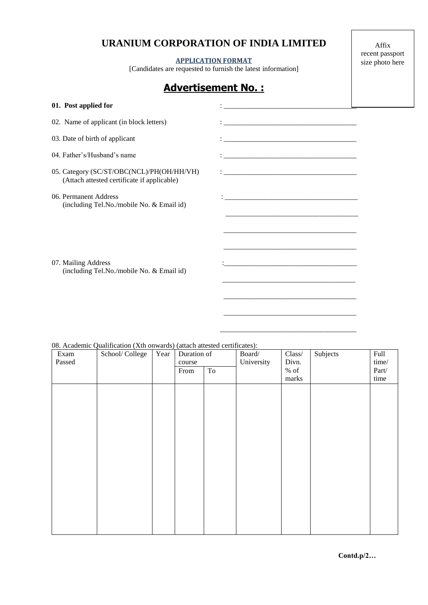## **URANIUM CORPORATION OF INDIA LIMITED**

### **APPLICATION FORMAT**

[Candidates are requested to furnish the latest information]

\_\_\_\_\_\_\_\_\_\_\_\_\_\_\_\_\_\_\_\_\_\_\_\_\_\_\_\_\_\_\_\_\_\_\_\_\_

\_\_\_\_\_\_\_\_\_\_\_\_\_\_\_\_\_\_\_\_\_\_\_\_\_\_\_\_\_\_\_\_\_\_\_\_\_\_

Affix recent passport size photo here

# **Advertisement No. :**

| 01. Post applied for                                                                     | <u> 1989 - Johann Barbara, martin da kasar Amerikaan kasar da</u>               |  |
|------------------------------------------------------------------------------------------|---------------------------------------------------------------------------------|--|
| 02. Name of applicant (in block letters)                                                 |                                                                                 |  |
| 03. Date of birth of applicant                                                           |                                                                                 |  |
| 04. Father's/Husband's name                                                              |                                                                                 |  |
| 05. Category (SC/ST/OBC(NCL)/PH(OH/HH/VH)<br>(Attach attested certificate if applicable) | the contract of the contract of the contract of the contract of the contract of |  |
| 06. Permanent Address<br>(including Tel.No./mobile No. & Email id)                       |                                                                                 |  |
|                                                                                          |                                                                                 |  |
|                                                                                          |                                                                                 |  |
| 07. Mailing Address                                                                      |                                                                                 |  |
| (including Tel.No./mobile No. & Email id)                                                |                                                                                 |  |
|                                                                                          |                                                                                 |  |

### 08. Academic Qualification (Xth onwards) (attach attested certificates):

| Exam<br>Passed | School/College | Year | Duration of<br>course |                     | Board/<br>University | Class/<br>Divn. | Subjects | Full<br>time/ |
|----------------|----------------|------|-----------------------|---------------------|----------------------|-----------------|----------|---------------|
|                |                |      | From                  | $\operatorname{To}$ |                      | $%$ of          |          | Part/         |
|                |                |      |                       |                     |                      | marks           |          | time          |
|                |                |      |                       |                     |                      |                 |          |               |
|                |                |      |                       |                     |                      |                 |          |               |
|                |                |      |                       |                     |                      |                 |          |               |
|                |                |      |                       |                     |                      |                 |          |               |
|                |                |      |                       |                     |                      |                 |          |               |
|                |                |      |                       |                     |                      |                 |          |               |
|                |                |      |                       |                     |                      |                 |          |               |
|                |                |      |                       |                     |                      |                 |          |               |
|                |                |      |                       |                     |                      |                 |          |               |
|                |                |      |                       |                     |                      |                 |          |               |
|                |                |      |                       |                     |                      |                 |          |               |
|                |                |      |                       |                     |                      |                 |          |               |
|                |                |      |                       |                     |                      |                 |          |               |
|                |                |      |                       |                     |                      |                 |          |               |
|                |                |      |                       |                     |                      |                 |          |               |